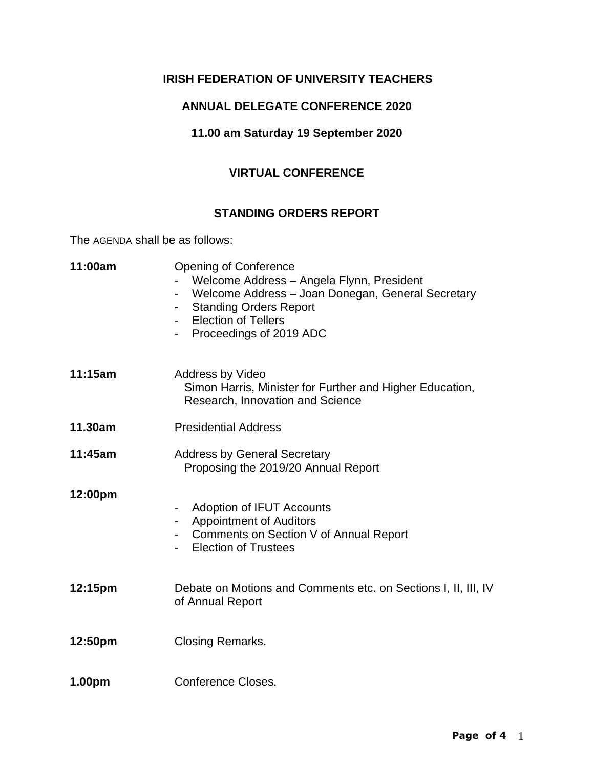# **IRISH FEDERATION OF UNIVERSITY TEACHERS**

### **ANNUAL DELEGATE CONFERENCE 2020**

## **11.00 am Saturday 19 September 2020**

# **VIRTUAL CONFERENCE**

### **STANDING ORDERS REPORT**

The AGENDA shall be as follows:

| 11:00am | <b>Opening of Conference</b><br>Welcome Address - Angela Flynn, President<br>Welcome Address - Joan Donegan, General Secretary<br><b>Standing Orders Report</b><br><b>Election of Tellers</b><br>Proceedings of 2019 ADC |
|---------|--------------------------------------------------------------------------------------------------------------------------------------------------------------------------------------------------------------------------|
| 11:15am | Address by Video<br>Simon Harris, Minister for Further and Higher Education,<br>Research, Innovation and Science                                                                                                         |
| 11.30am | <b>Presidential Address</b>                                                                                                                                                                                              |
| 11:45am | <b>Address by General Secretary</b><br>Proposing the 2019/20 Annual Report                                                                                                                                               |
| 12:00pm | Adoption of IFUT Accounts<br><b>Appointment of Auditors</b><br>Comments on Section V of Annual Report<br><b>Election of Trustees</b>                                                                                     |
| 12:15pm | Debate on Motions and Comments etc. on Sections I, II, III, IV<br>of Annual Report                                                                                                                                       |
| 12:50pm | <b>Closing Remarks.</b>                                                                                                                                                                                                  |
| 1.00pm  | <b>Conference Closes.</b>                                                                                                                                                                                                |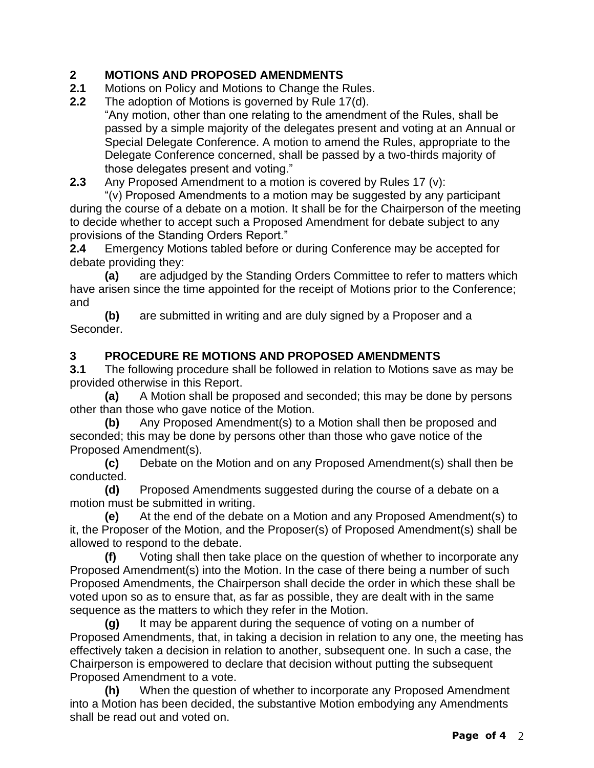# **2 MOTIONS AND PROPOSED AMENDMENTS**

- **2.1** Motions on Policy and Motions to Change the Rules.
- **2.2** The adoption of Motions is governed by Rule 17(d).

"Any motion, other than one relating to the amendment of the Rules, shall be passed by a simple majority of the delegates present and voting at an Annual or Special Delegate Conference. A motion to amend the Rules, appropriate to the Delegate Conference concerned, shall be passed by a two-thirds majority of those delegates present and voting."

**2.3** Any Proposed Amendment to a motion is covered by Rules 17 (v):

"(v) Proposed Amendments to a motion may be suggested by any participant during the course of a debate on a motion. It shall be for the Chairperson of the meeting to decide whether to accept such a Proposed Amendment for debate subject to any provisions of the Standing Orders Report."

**2.4** Emergency Motions tabled before or during Conference may be accepted for debate providing they:

**(a)** are adjudged by the Standing Orders Committee to refer to matters which have arisen since the time appointed for the receipt of Motions prior to the Conference; and

**(b)** are submitted in writing and are duly signed by a Proposer and a Seconder.

# **3 PROCEDURE RE MOTIONS AND PROPOSED AMENDMENTS**

**3.1** The following procedure shall be followed in relation to Motions save as may be provided otherwise in this Report.

**(a)** A Motion shall be proposed and seconded; this may be done by persons other than those who gave notice of the Motion.

**(b)** Any Proposed Amendment(s) to a Motion shall then be proposed and seconded; this may be done by persons other than those who gave notice of the Proposed Amendment(s).

**(c)** Debate on the Motion and on any Proposed Amendment(s) shall then be conducted.

**(d)** Proposed Amendments suggested during the course of a debate on a motion must be submitted in writing.

**(e)** At the end of the debate on a Motion and any Proposed Amendment(s) to it, the Proposer of the Motion, and the Proposer(s) of Proposed Amendment(s) shall be allowed to respond to the debate.

**(f)** Voting shall then take place on the question of whether to incorporate any Proposed Amendment(s) into the Motion. In the case of there being a number of such Proposed Amendments, the Chairperson shall decide the order in which these shall be voted upon so as to ensure that, as far as possible, they are dealt with in the same sequence as the matters to which they refer in the Motion.

**(g)** It may be apparent during the sequence of voting on a number of Proposed Amendments, that, in taking a decision in relation to any one, the meeting has effectively taken a decision in relation to another, subsequent one. In such a case, the Chairperson is empowered to declare that decision without putting the subsequent Proposed Amendment to a vote.

**(h)** When the question of whether to incorporate any Proposed Amendment into a Motion has been decided, the substantive Motion embodying any Amendments shall be read out and voted on.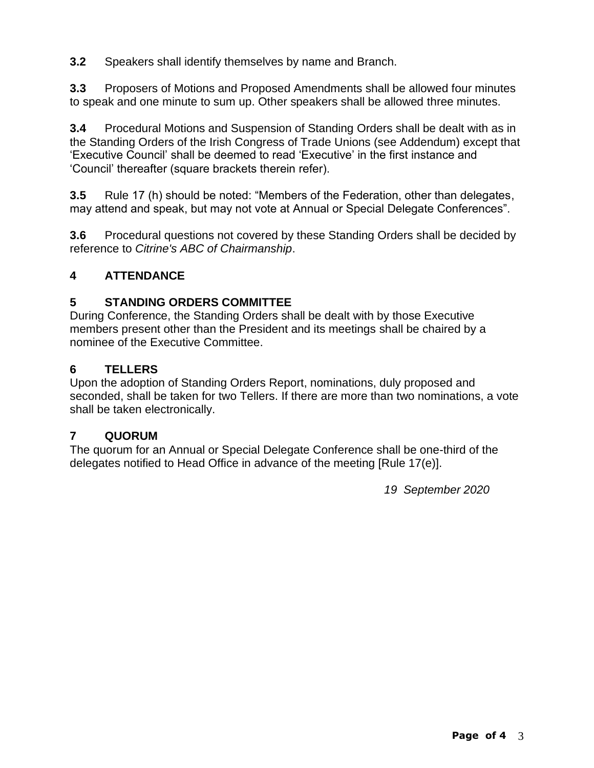**3.2** Speakers shall identify themselves by name and Branch.

**3.3** Proposers of Motions and Proposed Amendments shall be allowed four minutes to speak and one minute to sum up. Other speakers shall be allowed three minutes.

**3.4** Procedural Motions and Suspension of Standing Orders shall be dealt with as in the Standing Orders of the Irish Congress of Trade Unions (see Addendum) except that 'Executive Council' shall be deemed to read 'Executive' in the first instance and 'Council' thereafter (square brackets therein refer).

**3.5** Rule 17 (h) should be noted: "Members of the Federation, other than delegates, may attend and speak, but may not vote at Annual or Special Delegate Conferences".

**3.6** Procedural questions not covered by these Standing Orders shall be decided by reference to *Citrine's ABC of Chairmanship*.

## **4 ATTENDANCE**

### **5 STANDING ORDERS COMMITTEE**

During Conference, the Standing Orders shall be dealt with by those Executive members present other than the President and its meetings shall be chaired by a nominee of the Executive Committee.

#### **6 TELLERS**

Upon the adoption of Standing Orders Report, nominations, duly proposed and seconded, shall be taken for two Tellers. If there are more than two nominations, a vote shall be taken electronically.

#### **7 QUORUM**

The quorum for an Annual or Special Delegate Conference shall be one-third of the delegates notified to Head Office in advance of the meeting [Rule 17(e)].

*19 September 2020*